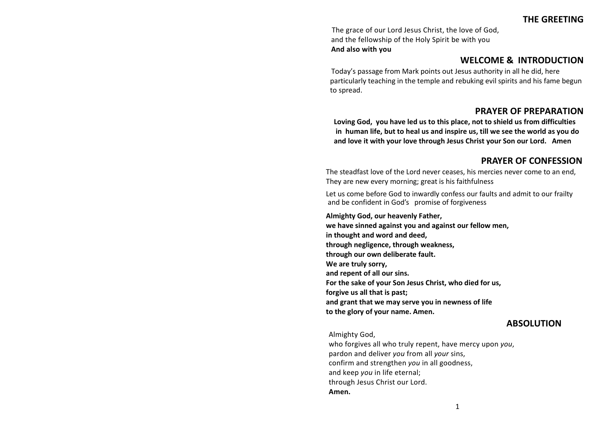The grace of our Lord Jesus Christ, the love of God, and the fellowship of the Holy Spirit be with you **And also with you**

## **WELCOME & INTRODUCTION**

Today's passage from Mark points out Jesus authority in all he did, here particularly teaching in the temple and rebuking evil spirits and his fame begun to spread.

## **PRAYER OF PREPARATION**

**Loving God, you have led us to this place, not to shield us from difficulties in human life, but to heal us and inspire us, till we see the world as you do and love it with your love through Jesus Christ your Son our Lord. Amen** 

## **PRAYER OF CONFESSION**

The steadfast love of the Lord never ceases, his mercies never come to an end, They are new every morning; great is his faithfulness

Let us come before God to inwardly confess our faults and admit to our frailty and be confident in God's promise of forgiveness

**Almighty God, our heavenly Father, we have sinned against you and against our fellow men, in thought and word and deed, through negligence, through weakness, through our own deliberate fault. We are truly sorry, and repent of all our sins. For the sake of your Son Jesus Christ, who died for us, forgive us all that is past; and grant that we may serve you in newness of life to the glory of your name. Amen.**

## **ABSOLUTION**

Almighty God,

who forgives all who truly repent, have mercy upon *you*, pardon and deliver *you* from all *your* sins, confirm and strengthen *you* in all goodness, and keep *you* in life eternal; through Jesus Christ our Lord. **Amen.**